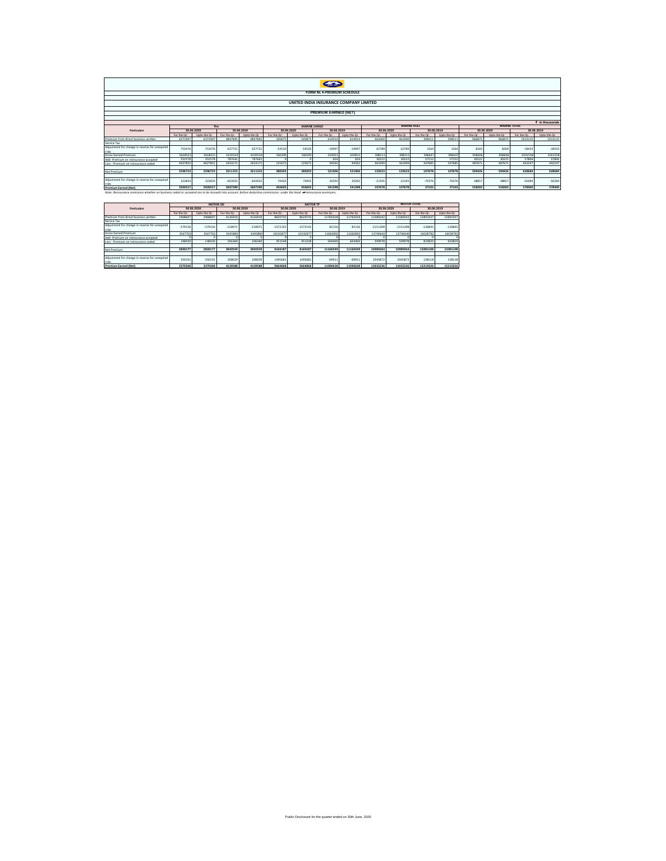| FORM NL 4-PREMIUM SCHEDULE                                                                                                                                            |                                                                          |                    |            |             |            |             |            |                    |             |                          |            |             |             |             |            |              |
|-----------------------------------------------------------------------------------------------------------------------------------------------------------------------|--------------------------------------------------------------------------|--------------------|------------|-------------|------------|-------------|------------|--------------------|-------------|--------------------------|------------|-------------|-------------|-------------|------------|--------------|
|                                                                                                                                                                       |                                                                          |                    |            |             |            |             |            |                    |             |                          |            |             |             |             |            |              |
| UNITED INDIA INSURANCE COMPANY LIMITED                                                                                                                                |                                                                          |                    |            |             |            |             |            |                    |             |                          |            |             |             |             |            |              |
|                                                                                                                                                                       |                                                                          |                    |            |             |            |             |            |                    |             |                          |            |             |             |             |            |              |
| <b>PREMIUM EARNED INETI</b>                                                                                                                                           |                                                                          |                    |            |             |            |             |            |                    |             |                          |            |             |             |             |            |              |
|                                                                                                                                                                       |                                                                          |                    |            |             |            |             |            |                    |             |                          |            |             |             |             |            |              |
| $\bar{\epsilon}$ in thousands                                                                                                                                         |                                                                          |                    |            |             |            |             |            |                    |             |                          |            |             |             |             |            |              |
|                                                                                                                                                                       | <b>MARINE TOTAL</b><br><b>MARINE HULL</b><br><b>MARINE CARGO</b><br>Fire |                    |            |             |            |             |            |                    |             |                          |            |             |             |             |            |              |
| Particulars                                                                                                                                                           |                                                                          | 30.06.2020         |            | 30.06.2019  |            | 30.06.2020  | 30.06.2019 |                    |             | 30.06.2019<br>30.06.2020 |            |             | 30.06.2020  |             |            | 30.06.2019   |
|                                                                                                                                                                       | For the Or                                                               | <b>Hoto the Or</b> | For the Or | Unto the Or | For the Or | Upto the Or | For the Or | <b>Hoto the Or</b> | For the Or. | Upto the Or              | For the Or | Upto the Or | For the Or. | Upto the Or | For the Or | Linto the Or |
| Premium from direct business written                                                                                                                                  | 6371997                                                                  | 6371997            | 4847845    | 4847845     | 505875     | 505875      | 614914     | 614914             | 461000      | 461000                   | 398213     | 39821       | 96687       | 966875      | 1013125    | 1013125      |
| Service Tax                                                                                                                                                           |                                                                          |                    |            |             |            |             |            |                    |             |                          |            |             |             |             |            |              |
| Adjustment for change in reserve for unexpired<br>risks                                                                                                               | 753476                                                                   | 753476             | 627721     | 627721      | $-54520$   | $-54520$    | $-19997$   | $-19997$           | 62789       | 62789                    | 1564       | 1564        | 8269        | 8269        | $-18433$   | $-18433$     |
| <b>Gross Earned Premium</b>                                                                                                                                           | 5618521                                                                  | 5618521            | 4220124    | 4220124     | 560395     | 560395      | 634911     | 634911             | 398211      | 398211                   | 396647     | 396647      | 958606      | 958606      | 1031558    | 1031558      |
| Add: Premium on reinsurance accepted                                                                                                                                  | 252578                                                                   | 252578             | 787641     | 787641      |            |             | 654        | 654                | 30222       | 30222                    | 57152      | 57152       | 30222       | 30222       | 57806      | 57806        |
| Less : Premium on reinsurance ceded                                                                                                                                   | 4027852                                                                  | 4027852            | 2424171    | 2424171     | 125672     | 125672      | 94562      | 94562              | 361999      | 361999                   | 347685     | 347685      | 487671      | 487671      | 442247     | 442247       |
|                                                                                                                                                                       |                                                                          |                    |            |             |            |             |            |                    |             |                          |            |             |             |             |            |              |
| Net Premium                                                                                                                                                           | 2596723                                                                  | 2596723            | 3211315    | 3211315     | 380203     | 380203      | 521006     | 521006             | 129223      | 129223                   | 107678     | 107678      | 509426      | 509426      | 628684     | 628684       |
|                                                                                                                                                                       |                                                                          |                    |            |             |            |             |            |                    |             |                          |            |             |             |             |            |              |
| Adjustment for change in reserve for unexpired<br>risks                                                                                                               | 323834                                                                   | 323834             | $-603925$  | $-603925$   | 70402      | 70402       | 20292      | 20292              | $-21545$    | $-21545$                 | $-70576$   | $-70576$    | 48857       | 48857       | $-50284$   | $-50284$     |
| <b>Premium Earned (Net)</b>                                                                                                                                           | 2920557                                                                  | 2920557            | 2607390    | 2607390     | 450605     | 450605      | 541298     | 541298             | 107678      | 107678                   | 37102      | 37102       | 558283      | 558283      | 578400     | 578400       |
| Note: Reinsurance premiums whether on business ceded or accepted are to be brought into account, before deducting commission, under the head of reinsurance premiums. |                                                                          |                    |            |             |            |             |            |                    |             |                          |            |             |             |             |            |              |

|                                                         |             | <b>MOTOR OD</b> |             |             |             | <b>MOTOR TP</b> |             |             | <b>MOTOR TOTAL</b> |             |             |             |  |  |
|---------------------------------------------------------|-------------|-----------------|-------------|-------------|-------------|-----------------|-------------|-------------|--------------------|-------------|-------------|-------------|--|--|
| <b>Particulars</b>                                      |             | 30.06.2020      |             | 30.06.2019  |             | 30.06.2020      | 30.06.2019  |             |                    | 30.06.2020  | 30.06.2019  |             |  |  |
|                                                         | For the Or. | Upto the Or     | For the Or. | Upto the Or | For the Or. | Upto the Or     | For the Or. | Upto the Or | For the Or.        | Upto the Or | For the Or. | Upto the Or |  |  |
| Premium from direct business written                    | 2968607     | 2968607         | 4126919     | 4126919     | 8620735     | 8620735         | 11765018    | 11765018    | 11589342           | 11589342    | 15891937    | 15891937    |  |  |
| Service Tax                                             |             |                 |             |             |             |                 |             |             |                    |             |             |             |  |  |
| Adjustment for change in reserve for unexpired<br>risks | $-579156$   | $-579156$       | $-218971$   | $-218971$   | $-1572142$  | $-1572142$      | 82126       | 82126       | $-2151298$         | $-2151298$  | $-136845$   | $-136845$   |  |  |
| Gross Earned Premium                                    | 3547763     | 3547763         | 4345890     | 4345890     | 1019287     | 10192877        | 11682892    | 11682892    | 13740640           | 13740640    | 16028782    | 16028782    |  |  |
| Add: Premium on reinsurance accepted                    |             |                 |             |             |             |                 |             |             |                    |             |             |             |  |  |
| Less : Premium on reinsurance ceded                     | 148430      | 148430          | 206360      | 206360      | 451548      | 451548          | 604469      | 604469      | 599978             | 599978      | 810829      | 810829      |  |  |
|                                                         |             |                 |             |             |             |                 |             |             |                    |             |             |             |  |  |
| Net Premium                                             | 2820177     | 2820177         | 3920559     | 3920559     | 8169187     | 8169187         | 11160549    | 11160549    | 10989364           | 10989364    | 15081108    | 15081108    |  |  |
|                                                         |             |                 |             |             |             |                 |             |             |                    |             |             |             |  |  |
| Adjustment for change in reserve for unexpired<br>ricks | 550191      | 550191          | 208029      | 208029      | 1495681     | 1495681         | $-69911$    | $-69911$    | 2045872            | 2045872     | 138118      | 138118      |  |  |
| <b>Premium Earned (Net)</b>                             | 3370368     | 3370368         | 4128588     | 4128588     | 9664868     | 9664868         | 11090638    | 11090638    | 13035236           | 13035236    | 15219226    | 15219226    |  |  |